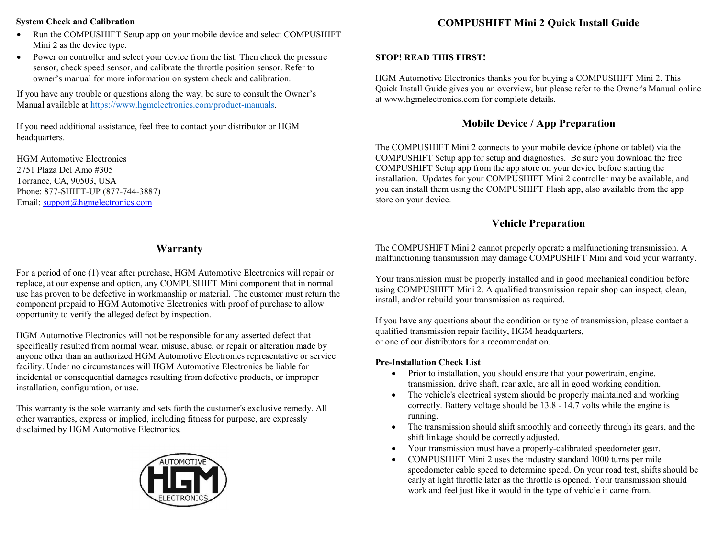#### System Check and Calibration

- Run the COMPUSHIFT Setup app on your mobile device and select COMPUSHIFT Mini 2 as the device type.
- Power on controller and select your device from the list. Then check the pressure sensor, check speed sensor, and calibrate the throttle position sensor. Refer to owner's manual for more information on system check and calibration.

If you have any trouble or questions along the way, be sure to consult the Owner's Manual available at https://www.hgmelectronics.com/product-manuals.

If you need additional assistance, feel free to contact your distributor or HGM headquarters.

HGM Automotive Electronics 2751 Plaza Del Amo #305 Torrance, CA, 90503, USA Phone: 877-SHIFT-UP (877-744-3887) Email: support@hgmelectronics.com

## Warranty

For a period of one (1) year after purchase, HGM Automotive Electronics will repair or replace, at our expense and option, any COMPUSHIFT Mini component that in normal use has proven to be defective in workmanship or material. The customer must return the component prepaid to HGM Automotive Electronics with proof of purchase to allow opportunity to verify the alleged defect by inspection.

HGM Automotive Electronics will not be responsible for any asserted defect that specifically resulted from normal wear, misuse, abuse, or repair or alteration made by anyone other than an authorized HGM Automotive Electronics representative or service facility. Under no circumstances will HGM Automotive Electronics be liable for incidental or consequential damages resulting from defective products, or improper installation, configuration, or use.

This warranty is the sole warranty and sets forth the customer's exclusive remedy. All other warranties, express or implied, including fitness for purpose, are expressly disclaimed by HGM Automotive Electronics.



# COMPUSHIFT Mini 2 Quick Install Guide

#### STOP! READ THIS FIRST!

HGM Automotive Electronics thanks you for buying a COMPUSHIFT Mini 2. This Quick Install Guide gives you an overview, but please refer to the Owner's Manual online at www.hgmelectronics.com for complete details.

# Mobile Device / App Preparation

The COMPUSHIFT Mini 2 connects to your mobile device (phone or tablet) via the COMPUSHIFT Setup app for setup and diagnostics. Be sure you download the free COMPUSHIFT Setup app from the app store on your device before starting the installation. Updates for your COMPUSHIFT Mini 2 controller may be available, and you can install them using the COMPUSHIFT Flash app, also available from the app store on your device.

## Vehicle Preparation

The COMPUSHIFT Mini 2 cannot properly operate a malfunctioning transmission. A malfunctioning transmission may damage COMPUSHIFT Mini and void your warranty.

Your transmission must be properly installed and in good mechanical condition before using COMPUSHIFT Mini 2. A qualified transmission repair shop can inspect, clean, install, and/or rebuild your transmission as required.

If you have any questions about the condition or type of transmission, please contact a qualified transmission repair facility, HGM headquarters, or one of our distributors for a recommendation.

### Pre-Installation Check List

- Prior to installation, you should ensure that your powertrain, engine, transmission, drive shaft, rear axle, are all in good working condition.
- The vehicle's electrical system should be properly maintained and working correctly. Battery voltage should be 13.8 - 14.7 volts while the engine is running.
- The transmission should shift smoothly and correctly through its gears, and the shift linkage should be correctly adjusted.
- Your transmission must have a properly-calibrated speedometer gear.
- COMPUSHIFT Mini 2 uses the industry standard 1000 turns per mile speedometer cable speed to determine speed. On your road test, shifts should be early at light throttle later as the throttle is opened. Your transmission should work and feel just like it would in the type of vehicle it came from.